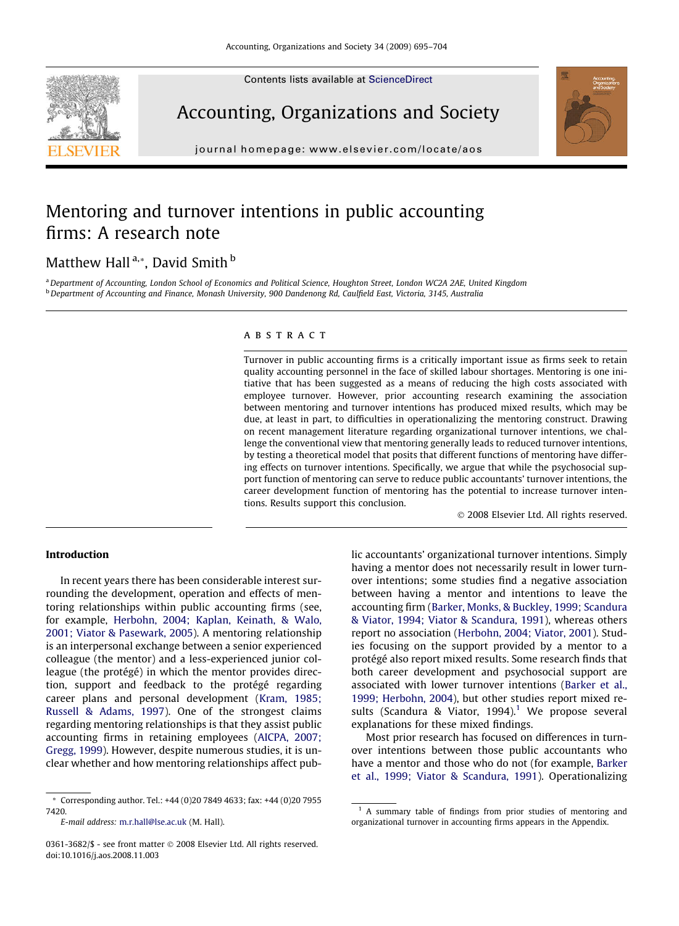Contents lists available at [ScienceDirect](http://www.sciencedirect.com/science/journal/03613682)





Accounting, Organizations and Society

journal homepage: [www.elsevier.com/locate/aos](http://www.elsevier.com/locate/aos)

## Mentoring and turnover intentions in public accounting firms: A research note

### Matthew Hall<sup>a,\*</sup>, David Smith<sup>b</sup>

a Department of Accounting, London School of Economics and Political Science, Houghton Street, London WC2A 2AE, United Kingdom <sup>b</sup> Department of Accounting and Finance, Monash University, 900 Dandenong Rd, Caulfield East, Victoria, 3145, Australia

#### **ABSTRACT**

Turnover in public accounting firms is a critically important issue as firms seek to retain quality accounting personnel in the face of skilled labour shortages. Mentoring is one initiative that has been suggested as a means of reducing the high costs associated with employee turnover. However, prior accounting research examining the association between mentoring and turnover intentions has produced mixed results, which may be due, at least in part, to difficulties in operationalizing the mentoring construct. Drawing on recent management literature regarding organizational turnover intentions, we challenge the conventional view that mentoring generally leads to reduced turnover intentions, by testing a theoretical model that posits that different functions of mentoring have differing effects on turnover intentions. Specifically, we argue that while the psychosocial support function of mentoring can serve to reduce public accountants' turnover intentions, the career development function of mentoring has the potential to increase turnover intentions. Results support this conclusion.

- 2008 Elsevier Ltd. All rights reserved.

#### Introduction

In recent years there has been considerable interest surrounding the development, operation and effects of mentoring relationships within public accounting firms (see, for example, [Herbohn, 2004; Kaplan, Keinath, & Walo,](#page--1-0) [2001; Viator & Pasewark, 2005\)](#page--1-0). A mentoring relationship is an interpersonal exchange between a senior experienced colleague (the mentor) and a less-experienced junior colleague (the protégé) in which the mentor provides direction, support and feedback to the protégé regarding career plans and personal development [\(Kram, 1985;](#page--1-0) [Russell & Adams, 1997\)](#page--1-0). One of the strongest claims regarding mentoring relationships is that they assist public accounting firms in retaining employees ([AICPA, 2007;](#page--1-0) [Gregg, 1999](#page--1-0)). However, despite numerous studies, it is unclear whether and how mentoring relationships affect pub-

\* Corresponding author. Tel.: +44 (0)20 7849 4633; fax: +44 (0)20 7955 7420.

E-mail address: [m.r.hall@lse.ac.uk](mailto:m.r.hall@lse.ac.uk) (M. Hall).

0361-3682/\$ - see front matter © 2008 Elsevier Ltd. All rights reserved. doi:10.1016/j.aos.2008.11.003

lic accountants' organizational turnover intentions. Simply having a mentor does not necessarily result in lower turnover intentions; some studies find a negative association between having a mentor and intentions to leave the accounting firm [\(Barker, Monks, & Buckley, 1999; Scandura](#page--1-0) [& Viator, 1994; Viator & Scandura, 1991\)](#page--1-0), whereas others report no association [\(Herbohn, 2004; Viator, 2001](#page--1-0)). Studies focusing on the support provided by a mentor to a protégé also report mixed results. Some research finds that both career development and psychosocial support are associated with lower turnover intentions [\(Barker et al.,](#page--1-0) [1999; Herbohn, 2004](#page--1-0)), but other studies report mixed results (Scandura & Viator, 1994).<sup>1</sup> We propose several explanations for these mixed findings.

Most prior research has focused on differences in turnover intentions between those public accountants who have a mentor and those who do not (for example, [Barker](#page--1-0) [et al., 1999; Viator & Scandura, 1991](#page--1-0)). Operationalizing

<sup>&</sup>lt;sup>1</sup> A summary table of findings from prior studies of mentoring and organizational turnover in accounting firms appears in the Appendix.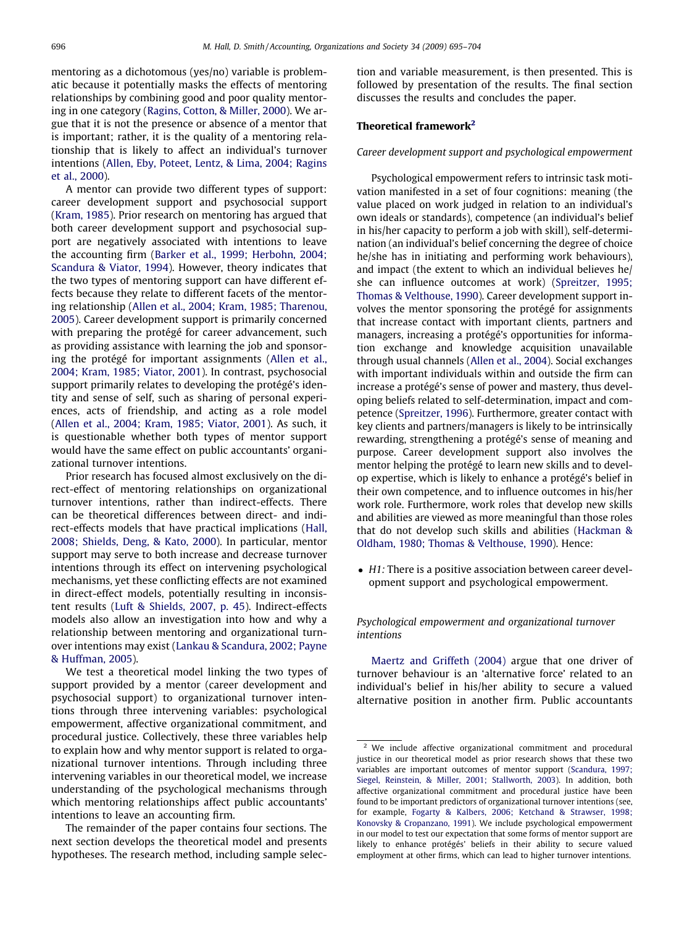mentoring as a dichotomous (yes/no) variable is problematic because it potentially masks the effects of mentoring relationships by combining good and poor quality mentoring in one category [\(Ragins, Cotton, & Miller, 2000](#page--1-0)). We argue that it is not the presence or absence of a mentor that is important; rather, it is the quality of a mentoring relationship that is likely to affect an individual's turnover intentions [\(Allen, Eby, Poteet, Lentz, & Lima, 2004; Ragins](#page--1-0) [et al., 2000](#page--1-0)).

A mentor can provide two different types of support: career development support and psychosocial support [\(Kram, 1985\)](#page--1-0). Prior research on mentoring has argued that both career development support and psychosocial support are negatively associated with intentions to leave the accounting firm [\(Barker et al., 1999; Herbohn, 2004;](#page--1-0) [Scandura & Viator, 1994](#page--1-0)). However, theory indicates that the two types of mentoring support can have different effects because they relate to different facets of the mentoring relationship [\(Allen et al., 2004; Kram, 1985; Tharenou,](#page--1-0) [2005](#page--1-0)). Career development support is primarily concerned with preparing the protégé for career advancement, such as providing assistance with learning the job and sponsoring the protégé for important assignments ([Allen et al.,](#page--1-0) [2004; Kram, 1985; Viator, 2001\)](#page--1-0). In contrast, psychosocial support primarily relates to developing the protégé's identity and sense of self, such as sharing of personal experiences, acts of friendship, and acting as a role model [\(Allen et al., 2004; Kram, 1985; Viator, 2001\)](#page--1-0). As such, it is questionable whether both types of mentor support would have the same effect on public accountants' organizational turnover intentions.

Prior research has focused almost exclusively on the direct-effect of mentoring relationships on organizational turnover intentions, rather than indirect-effects. There can be theoretical differences between direct- and indirect-effects models that have practical implications [\(Hall,](#page--1-0) [2008; Shields, Deng, & Kato, 2000](#page--1-0)). In particular, mentor support may serve to both increase and decrease turnover intentions through its effect on intervening psychological mechanisms, yet these conflicting effects are not examined in direct-effect models, potentially resulting in inconsistent results [\(Luft & Shields, 2007, p. 45](#page--1-0)). Indirect-effects models also allow an investigation into how and why a relationship between mentoring and organizational turnover intentions may exist [\(Lankau & Scandura, 2002; Payne](#page--1-0) [& Huffman, 2005](#page--1-0)).

We test a theoretical model linking the two types of support provided by a mentor (career development and psychosocial support) to organizational turnover intentions through three intervening variables: psychological empowerment, affective organizational commitment, and procedural justice. Collectively, these three variables help to explain how and why mentor support is related to organizational turnover intentions. Through including three intervening variables in our theoretical model, we increase understanding of the psychological mechanisms through which mentoring relationships affect public accountants' intentions to leave an accounting firm.

The remainder of the paper contains four sections. The next section develops the theoretical model and presents hypotheses. The research method, including sample selection and variable measurement, is then presented. This is followed by presentation of the results. The final section discusses the results and concludes the paper.

#### Theoretical framework<sup>2</sup>

Career development support and psychological empowerment

Psychological empowerment refers to intrinsic task motivation manifested in a set of four cognitions: meaning (the value placed on work judged in relation to an individual's own ideals or standards), competence (an individual's belief in his/her capacity to perform a job with skill), self-determination (an individual's belief concerning the degree of choice he/she has in initiating and performing work behaviours), and impact (the extent to which an individual believes he/ she can influence outcomes at work) ([Spreitzer, 1995;](#page--1-0) [Thomas & Velthouse, 1990\)](#page--1-0). Career development support involves the mentor sponsoring the protégé for assignments that increase contact with important clients, partners and managers, increasing a protégé's opportunities for information exchange and knowledge acquisition unavailable through usual channels [\(Allen et al., 2004\)](#page--1-0). Social exchanges with important individuals within and outside the firm can increase a protégé's sense of power and mastery, thus developing beliefs related to self-determination, impact and competence [\(Spreitzer, 1996\)](#page--1-0). Furthermore, greater contact with key clients and partners/managers is likely to be intrinsically rewarding, strengthening a protégé's sense of meaning and purpose. Career development support also involves the mentor helping the protégé to learn new skills and to develop expertise, which is likely to enhance a protégé's belief in their own competence, and to influence outcomes in his/her work role. Furthermore, work roles that develop new skills and abilities are viewed as more meaningful than those roles that do not develop such skills and abilities [\(Hackman &](#page--1-0) [Oldham, 1980; Thomas & Velthouse, 1990](#page--1-0)). Hence:

• H1: There is a positive association between career development support and psychological empowerment.

Psychological empowerment and organizational turnover intentions

[Maertz and Griffeth \(2004\)](#page--1-0) argue that one driver of turnover behaviour is an 'alternative force' related to an individual's belief in his/her ability to secure a valued alternative position in another firm. Public accountants

We include affective organizational commitment and procedural justice in our theoretical model as prior research shows that these two variables are important outcomes of mentor support [\(Scandura, 1997;](#page--1-0) [Siegel, Reinstein, & Miller, 2001; Stallworth, 2003\)](#page--1-0). In addition, both affective organizational commitment and procedural justice have been found to be important predictors of organizational turnover intentions (see, for example, [Fogarty & Kalbers, 2006; Ketchand & Strawser, 1998;](#page--1-0) [Konovsky & Cropanzano, 1991](#page--1-0)). We include psychological empowerment in our model to test our expectation that some forms of mentor support are likely to enhance protégés' beliefs in their ability to secure valued employment at other firms, which can lead to higher turnover intentions.